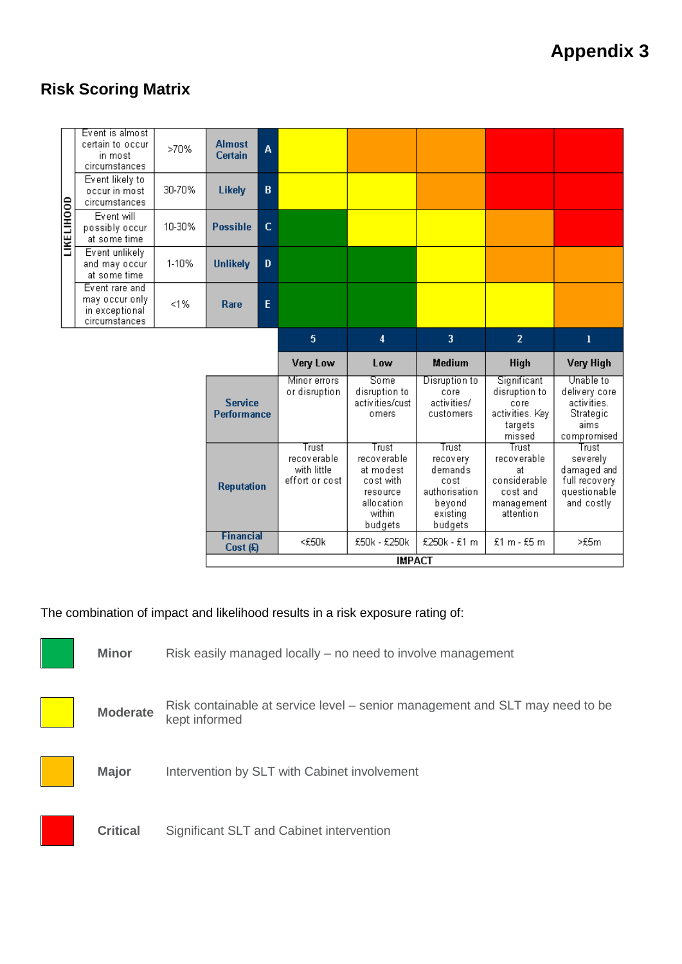## **Risk Scoring Matrix**



The combination of impact and likelihood results in a risk exposure rating of:

**Minor** Risk easily managed locally – no need to involve management



**Moderate** Risk containable at service level – senior management and SLT may need to be kept informed

**Major** Intervention by SLT with Cabinet involvement



**Critical** Significant SLT and Cabinet intervention